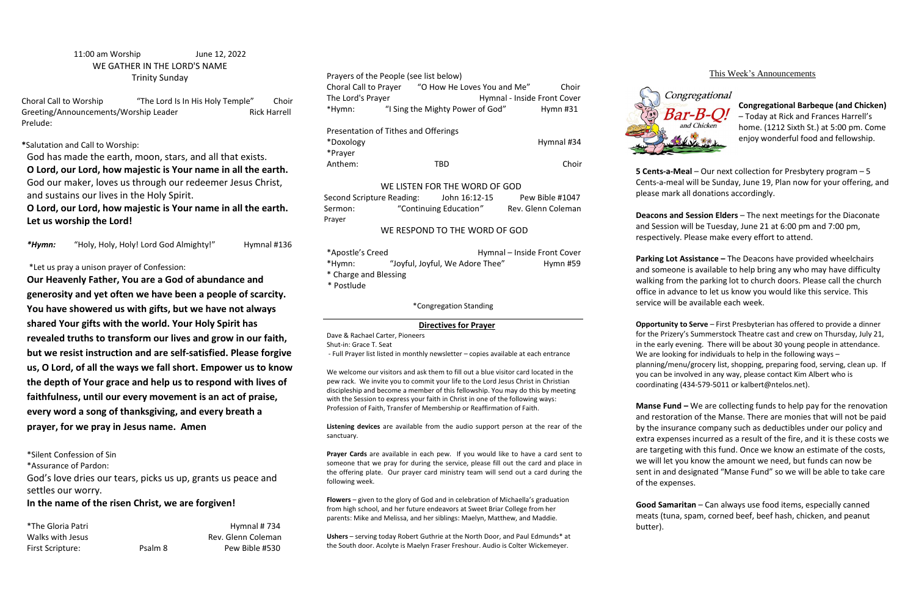# 11:00 am Worship June 12, 2022 WE GATHER IN THE LORD'S NAME Trinity Sunday

Choral Call to Worship "The Lord Is In His Holy Temple" Choir Greeting/Announcements/Worship Leader Rick Harrell Prelude:

**\***Salutation and Call to Worship:

God has made the earth, moon, stars, and all that exists.

**O Lord, our Lord, how majestic is Your name in all the earth.**  God our maker, loves us through our redeemer Jesus Christ, and sustains our lives in the Holy Spirit.

**O Lord, our Lord, how majestic is Your name in all the earth. Let us worship the Lord!**

*\*Hymn:* "Holy, Holy, Holy! Lord God Almighty!" Hymnal #136

# \*Let us pray a unison prayer of Confession:

Choral Call to Prayer "O How He Loves You and Me" Choir The Lord's Prayer **Hymnal - Inside Front Cover** \*Hymn: "I Sing the Mighty Power of God" Hymn #31

**Our Heavenly Father, You are a God of abundance and generosity and yet often we have been a people of scarcity. You have showered us with gifts, but we have not always shared Your gifts with the world. Your Holy Spirit has revealed truths to transform our lives and grow in our faith, but we resist instruction and are self-satisfied. Please forgive us, O Lord, of all the ways we fall short. Empower us to know the depth of Your grace and help us to respond with lives of faithfulness, until our every movement is an act of praise, every word a song of thanksgiving, and every breath a prayer, for we pray in Jesus name. Amen**

| Second Scripture Reading: | John 16:12-15          | Pew Bible #1047    |
|---------------------------|------------------------|--------------------|
| Sermon:                   | "Continuing Education" | Rev. Glenn Coleman |
| Praver                    |                        |                    |

| *Apostle's Creed      |                                 | Hymnal - Inside Front Cover |          |
|-----------------------|---------------------------------|-----------------------------|----------|
| *Hymn:                | "Joyful, Joyful, We Adore Thee" |                             | Hymn #59 |
| * Charge and Blessing |                                 |                             |          |
| * Postlude            |                                 |                             |          |

\*Silent Confession of Sin

\*Assurance of Pardon:

God's love dries our tears, picks us up, grants us peace and settles our worry.

# **In the name of the risen Christ, we are forgiven!**

\*The Gloria Patri **Hymnal # 734** Walks with Jesus **Rev. Glenn Coleman** First Scripture: Psalm 8 Pew Bible #530

### Prayers of the People (see list below)

|           | Presentation of Tithes and Offerings |            |
|-----------|--------------------------------------|------------|
| *Doxology |                                      | Hymnal #34 |
| *Prayer   |                                      |            |
| Anthem:   | TRD                                  | Choir      |

### WE LISTEN FOR THE WORD OF GOD

# WE RESPOND TO THE WORD OF GOD

### \*Congregation Standing

### **Directives for Prayer**

Dave & Rachael Carter, Pioneers Shut-in: Grace T. Seat

- Full Prayer list listed in monthly newsletter – copies available at each entrance

We welcome our visitors and ask them to fill out a blue visitor card located in the pew rack. We invite you to commit your life to the Lord Jesus Christ in Christian discipleship and become a member of this fellowship. You may do this by meeting with the Session to express your faith in Christ in one of the following ways: Profession of Faith, Transfer of Membership or Reaffirmation of Faith.

**Manse Fund –** We are collecting funds to help pay for the renovation and restoration of the Manse. There are monies that will not be paid by the insurance company such as deductibles under our policy and extra expenses incurred as a result of the fire, and it is these costs we are targeting with this fund. Once we know an estimate of the costs, we will let you know the amount we need, but funds can now be sent in and designated "Manse Fund" so we will be able to take care of the expenses.

**Listening devices** are available from the audio support person at the rear of the sanctuary.

**Prayer Cards** are available in each pew. If you would like to have a card sent to someone that we pray for during the service, please fill out the card and place in the offering plate. Our prayer card ministry team will send out a card during the following week.

**Flowers** – given to the glory of God and in celebration of Michaella's graduation from high school, and her future endeavors at Sweet Briar College from her parents: Mike and Melissa, and her siblings: Maelyn, Matthew, and Maddie.

**Ushers** – serving today Robert Guthrie at the North Door, and Paul Edmunds\* at the South door. Acolyte is Maelyn Fraser Freshour. Audio is Colter Wickemeyer.



# This Week's Announcements

**Congregational Barbeque (and Chicken)**  – Today at Rick and Frances Harrell's home. (1212 Sixth St.) at 5:00 pm. Come enjoy wonderful food and fellowship.

**5 Cents-a-Meal** – Our next collection for Presbytery program – 5 Cents-a-meal will be Sunday, June 19, Plan now for your offering, and please mark all donations accordingly.

**Deacons and Session Elders** – The next meetings for the Diaconate and Session will be Tuesday, June 21 at 6:00 pm and 7:00 pm, respectively. Please make every effort to attend.

**Parking Lot Assistance –** The Deacons have provided wheelchairs and someone is available to help bring any who may have difficulty walking from the parking lot to church doors. Please call the church office in advance to let us know you would like this service. This service will be available each week.

**Opportunity to Serve** – First Presbyterian has offered to provide a dinner for the Prizery's Summerstock Theatre cast and crew on Thursday, July 21, in the early evening. There will be about 30 young people in attendance. We are looking for individuals to help in the following ways planning/menu/grocery list, shopping, preparing food, serving, clean up. If you can be involved in any way, please contact Kim Albert who is coordinating (434-579-5011 or kalbert@ntelos.net).

**Good Samaritan** – Can always use food items, especially canned meats (tuna, spam, corned beef, beef hash, chicken, and peanut

butter).